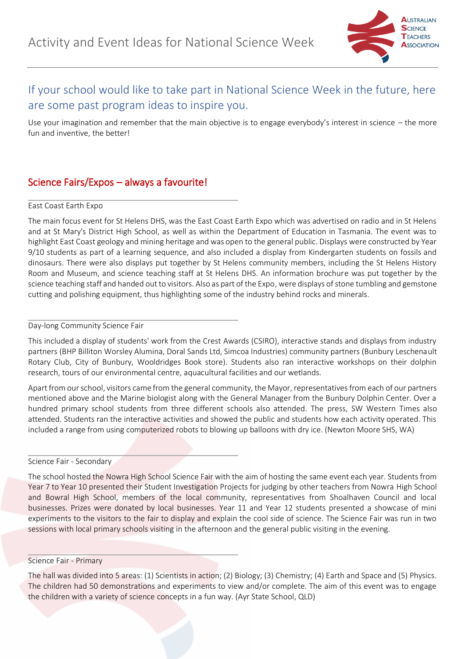

# If your school would like to take part in National Science Week in the future, here are some past program ideas to inspire you.

Use your imagination and remember that the main objective is to engage everybody's interest in science  $-$  the more fun and inventive, the better!

# Science Fairs/Expos – always a favourite!

# East Coast Earth Expo

The main focus event for St Helens DHS, was the East Coast Earth Expo which was advertised on radio and in St Helens and at St Mary's District High School, as well as within the Department of Education in Tasmania. The event was to highlight East Coast geology and mining heritage and was open to the general public. Displays were constructed by Year 9/10 students as part of a learning sequence, and also included a display from Kindergarten students on fossils and dinosaurs. There were also displays put together by St Helens community members, including the St Helens History Room and Museum, and science teaching staff at St Helens DHS. An information brochure was put together by the science teaching staff and handed out to visitors. Also as part of the Expo, were displays of stone tumbling and gemstone cutting and polishing equipment, thus highlighting some of the industry behind rocks and minerals.

# Day-long Community Science Fair

This included a display of students' work from the Crest Awards (CSIRO), interactive stands and displays from industry partners (BHP Billiton Worsley Alumina, Doral Sands Ltd, Simcoa Industries) community partners (Bunbury Leschenault Rotary Club, City of Bunbury, Wooldridges Book store). Students also ran interactive workshops on their dolphin research, tours of our environmental centre, aquacultural facilities and our wetlands.

Apart from our school, visitors came from the general community, the Mayor, representatives from each of our partners mentioned above and the Marine biologist along with the General Manager from the Bunbury Dolphin Center. Over a hundred primary school students from three different schools also attended. The press, SW Western Times also attended. Students ran the interactive activities and showed the public and students how each activity operated. This included a range from using computerized robots to blowing up balloons with dry ice. (Newton Moore SHS, WA)

# Science Fair - Secondary

The school hosted the Nowra High School Science Fair with the aim of hosting the same event each year. Students from Year 7 to Year 10 presented their Student Investigation Projects for judging by other teachers from Nowra High School and Bowral High School, members of the local community, representatives from Shoalhaven Council and local businesses. Prizes were donated by local businesses. Year 11 and Year 12 students presented a showcase of mini experiments to the visitors to the fair to display and explain the cool side of science. The Science Fair was run in two sessions with local primary schools visiting in the afternoon and the general public visiting in the evening.

#### Science Fair - Primary

The hall was divided into 5 areas: (1) Scientists in action; (2) Biology; (3) Chemistry; (4) Earth and Space and (5) Physics. The children had 50 demonstrations and experiments to view and/or complete. The aim of this event was to engage the children with a variety of science concepts in a fun way. (Ayr State School, QLD)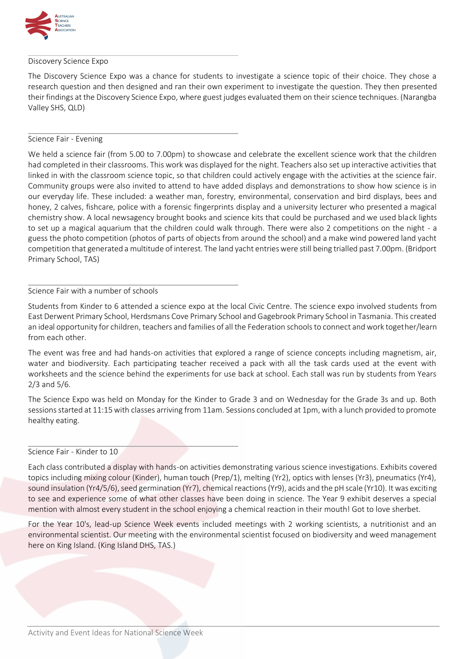

## Discovery Science Expo

The Discovery Science Expo was a chance for students to investigate a science topic of their choice. They chose a research question and then designed and ran their own experiment to investigate the question. They then presented their findings at the Discovery Science Expo, where guest judges evaluated them on their science techniques. (Narangba Valley SHS, QLD)

# Science Fair - Evening

We held a science fair (from 5.00 to 7.00pm) to showcase and celebrate the excellent science work that the children had completed in their classrooms. This work was displayed for the night. Teachers also set up interactive activities that linked in with the classroom science topic, so that children could actively engage with the activities at the science fair. Community groups were also invited to attend to have added displays and demonstrations to show how science is in our everyday life. These included: a weather man, forestry, environmental, conservation and bird displays, bees and honey, 2 calves, fishcare, police with a forensic fingerprints display and a university lecturer who presented a magical chemistry show. A local newsagency brought books and science kits that could be purchased and we used black lights to set up a magical aquarium that the children could walk through. There were also 2 competitions on the night - a guess the photo competition (photos of parts of objects from around the school) and a make wind powered land yacht competition that generated a multitude of interest. The land yacht entries were still being trialled past 7.00pm. (Bridport Primary School, TAS)

## Science Fair with a number of schools

Students from Kinder to 6 attended a science expo at the local Civic Centre. The science expo involved students from East Derwent Primary School, Herdsmans Cove Primary School and Gagebrook Primary School in Tasmania. This created an ideal opportunity for children, teachers and families of all the Federation schools to connect and work together/learn from each other.

The event was free and had hands-on activities that explored a range of science concepts including magnetism, air, water and biodiversity. Each participating teacher received a pack with all the task cards used at the event with worksheets and the science behind the experiments for use back at school. Each stall was run by students from Years 2/3 and 5/6.

The Science Expo was held on Monday for the Kinder to Grade 3 and on Wednesday for the Grade 3s and up. Both sessions started at 11:15 with classes arriving from 11am. Sessions concluded at 1pm, with a lunch provided to promote healthy eating.

#### Science Fair - Kinder to 10

Each class contributed a display with hands-on activities demonstrating various science investigations. Exhibits covered topics including mixing colour (Kinder), human touch (Prep/1), melting (Yr2), optics with lenses (Yr3), pneumatics (Yr4), sound insulation (Yr4/5/6), seed germination (Yr7), chemical reactions (Yr9), acids and the pH scale (Yr10). It was exciting to see and experience some of what other classes have been doing in science. The Year 9 exhibit deserves a special mention with almost every student in the school enjoying a chemical reaction in their mouth! Got to love sherbet.

For the Year 10's, lead-up Science Week events included meetings with 2 working scientists, a nutritionist and an environmental scientist. Our meeting with the environmental scientist focused on biodiversity and weed management here on King Island. (King Island DHS, TAS.)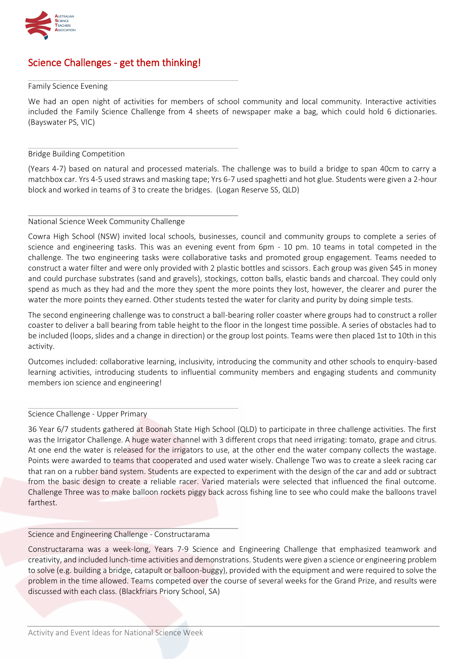

# Science Challenges - get them thinking!

## Family Science Evening

We had an open night of activities for members of school community and local community. Interactive activities included the Family Science Challenge from 4 sheets of newspaper make a bag, which could hold 6 dictionaries. (Bayswater PS, VIC)

## Bridge Building Competition

(Years 4-7) based on natural and processed materials. The challenge was to build a bridge to span 40cm to carry a matchbox car. Yrs 4-5 used straws and masking tape; Yrs 6-7 used spaghetti and hot glue. Students were given a 2-hour block and worked in teams of 3 to create the bridges. (Logan Reserve SS, QLD)

## National Science Week Community Challenge

Cowra High School (NSW) invited local schools, businesses, council and community groups to complete a series of science and engineering tasks. This was an evening event from 6pm - 10 pm. 10 teams in total competed in the challenge. The two engineering tasks were collaborative tasks and promoted group engagement. Teams needed to construct a water filter and were only provided with 2 plastic bottles and scissors. Each group was given \$45 in money and could purchase substrates (sand and gravels), stockings, cotton balls, elastic bands and charcoal. They could only spend as much as they had and the more they spent the more points they lost, however, the clearer and purer the water the more points they earned. Other students tested the water for clarity and purity by doing simple tests.

The second engineering challenge was to construct a ball-bearing roller coaster where groups had to construct a roller coaster to deliver a ball bearing from table height to the floor in the longest time possible. A series of obstacles had to be included (loops, slides and a change in direction) or the group lost points. Teams were then placed 1st to 10th in this activity.

Outcomes included: collaborative learning, inclusivity, introducing the community and other schools to enquiry-based learning activities, introducing students to influential community members and engaging students and community members ion science and engineering!

Science Challenge - Upper Primary

36 Year 6/7 students gathered at Boonah State High School (QLD) to participate in three challenge activities. The first was the Irrigator Challenge. A huge water channel with 3 different crops that need irrigating: tomato, grape and citrus. At one end the water is released for the irrigators to use, at the other end the water company collects the wastage. Points were awarded to teams that cooperated and used water wisely. Challenge Two was to create a sleek racing car that ran on a rubber band system. Students are expected to experiment with the design of the car and add or subtract from the basic design to create a reliable racer. Varied materials were selected that influenced the final outcome. Challenge Three was to make balloon rockets piggy back across fishing line to see who could make the balloons travel farthest.

## Science and Engineering Challenge - Constructarama

Constructarama was a week-long, Years 7-9 Science and Engineering Challenge that emphasized teamwork and creativity, and included lunch-time activities and demonstrations. Students were given a science or engineering problem to solve (e.g. building a bridge, catapult or balloon-buggy), provided with the equipment and were required to solve the problem in the time allowed. Teams competed over the course of several weeks for the Grand Prize, and results were discussed with each class. (Blackfriars Priory School, SA)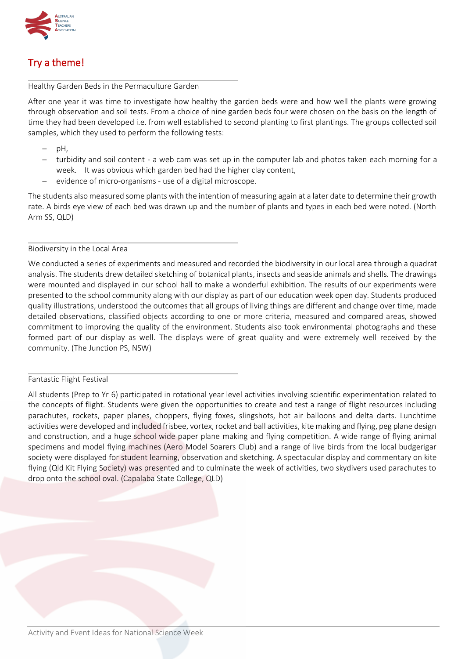

# Try a theme!

# Healthy Garden Beds in the Permaculture Garden

After one year it was time to investigate how healthy the garden beds were and how well the plants were growing through observation and soil tests. From a choice of nine garden beds four were chosen on the basis on the length of time they had been developed i.e. from well established to second planting to first plantings. The groups collected soil samples, which they used to perform the following tests:

- pH,
- − turbidity and soil content a web cam was set up in the computer lab and photos taken each morning for a week. It was obvious which garden bed had the higher clay content,
- evidence of micro-organisms use of a digital microscope.

The students also measured some plants with the intention of measuring again at a later date to determine their growth rate. A birds eye view of each bed was drawn up and the number of plants and types in each bed were noted. (North Arm SS, QLD)

# Biodiversity in the Local Area

We conducted a series of experiments and measured and recorded the biodiversity in our local area through a quadrat analysis. The students drew detailed sketching of botanical plants, insects and seaside animals and shells. The drawings were mounted and displayed in our school hall to make a wonderful exhibition. The results of our experiments were presented to the school community along with our display as part of our education week open day. Students produced quality illustrations, understood the outcomes that all groups of living things are different and change over time, made detailed observations, classified objects according to one or more criteria, measured and compared areas, showed commitment to improving the quality of the environment. Students also took environmental photographs and these formed part of our display as well. The displays were of great quality and were extremely well received by the community. (The Junction PS, NSW)

# Fantastic Flight Festival

All students (Prep to Yr 6) participated in rotational year level activities involving scientific experimentation related to the concepts of flight. Students were given the opportunities to create and test a range of flight resources including parachutes, rockets, paper planes, choppers, flying foxes, slingshots, hot air balloons and delta darts. Lunchtime activities were developed and included frisbee, vortex, rocket and ball activities, kite making and flying, peg plane design and construction, and a huge school wide paper plane making and flying competition. A wide range of flying animal specimens and model flying machines (Aero Model Soarers Club) and a range of live birds from the local budgerigar society were displayed for student learning, observation and sketching. A spectacular display and commentary on kite flying (Qld Kit Flying Society) was presented and to culminate the week of activities, two skydivers used parachutes to drop onto the school oval. (Capalaba State College, QLD)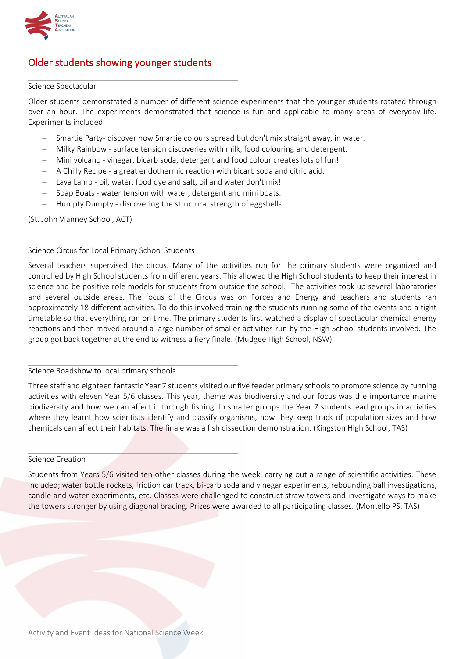

# Older students showing younger students

## Science Spectacular

Older students demonstrated a number of different science experiments that the younger students rotated through over an hour. The experiments demonstrated that science is fun and applicable to many areas of everyday life. Experiments included:

- − Smartie Party- discover how Smartie colours spread but don't mix straight away, in water.
- − Milky Rainbow surface tension discoveries with milk, food colouring and detergent.
- − Mini volcano vinegar, bicarb soda, detergent and food colour creates lots of fun!
- − A Chilly Recipe a great endothermic reaction with bicarb soda and citric acid.
- − Lava Lamp oil, water, food dye and salt, oil and water don't mix!
- − Soap Boats water tension with water, detergent and mini boats.
- − Humpty Dumpty discovering the structural strength of eggshells.

(St. John Vianney School, ACT)

# Science Circus for Local Primary School Students

Several teachers supervised the circus. Many of the activities run for the primary students were organized and controlled by High School students from different years. This allowed the High School students to keep their interest in science and be positive role models for students from outside the school. The activities took up several laboratories and several outside areas. The focus of the Circus was on Forces and Energy and teachers and students ran approximately 18 different activities. To do this involved training the students running some of the events and a tight timetable so that everything ran on time. The primary students first watched a display of spectacular chemical energy reactions and then moved around a large number of smaller activities run by the High School students involved. The group got back together at the end to witness a fiery finale. (Mudgee High School, NSW)

# Science Roadshow to local primary schools

Three staff and eighteen fantastic Year 7 students visited our five feeder primary schools to promote science by running activities with eleven Year 5/6 classes. This year, theme was biodiversity and our focus was the importance marine biodiversity and how we can affect it through fishing. In smaller groups the Year 7 students lead groups in activities where they learnt how scientists identify and classify organisms, how they keep track of population sizes and how chemicals can affect their habitats. The finale was a fish dissection demonstration. (Kingston High School, TAS)

#### Science Creation

Students from Years 5/6 visited ten other classes during the week, carrying out a range of scientific activities. These included; water bottle rockets, friction car track, bi-carb soda and vinegar experiments, rebounding ball investigations, candle and water experiments, etc. Classes were challenged to construct straw towers and investigate ways to make the towers stronger by using diagonal bracing. Prizes were awarded to all participating classes. (Montello PS, TAS)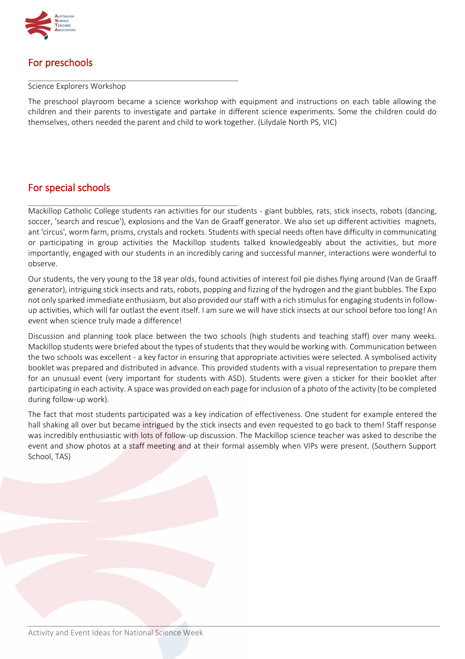

# For preschools

## Science Explorers Workshop

The preschool playroom became a science workshop with equipment and instructions on each table allowing the children and their parents to investigate and partake in different science experiments. Some the children could do themselves, others needed the parent and child to work together. (Lilydale North PS, VIC)

# For special schools

Mackillop Catholic College students ran activities for our students - giant bubbles, rats, stick insects, robots (dancing, soccer, 'search and rescue'), explosions and the Van de Graaff generator. We also set up different activities magnets, ant 'circus', worm farm, prisms, crystals and rockets. Students with special needs often have difficulty in communicating or participating in group activities the Mackillop students talked knowledgeably about the activities, but more importantly, engaged with our students in an incredibly caring and successful manner, interactions were wonderful to observe.

Our students, the very young to the 18 year olds, found activities of interest foil pie dishes flying around (Van de Graaff generator), intriguing stick insects and rats, robots, popping and fizzing of the hydrogen and the giant bubbles. The Expo not only sparked immediate enthusiasm, but also provided our staff with a rich stimulus for engaging students in followup activities, which will far outlast the event itself. I am sure we will have stick insects at our school before too long! An event when science truly made a difference!

Discussion and planning took place between the two schools (high students and teaching staff) over many weeks. Mackillop students were briefed about the types of students that they would be working with. Communication between the two schools was excellent - a key factor in ensuring that appropriate activities were selected. A symbolised activity booklet was prepared and distributed in advance. This provided students with a visual representation to prepare them for an unusual event (very important for students with ASD). Students were given a sticker for their booklet after participating in each activity. A space was provided on each page for inclusion of a photo of the activity (to be completed during follow-up work).

The fact that most students participated was a key indication of effectiveness. One student for example entered the hall shaking all over but became intrigued by the stick insects and even requested to go back to them! Staff response was incredibly enthusiastic with lots of follow-up discussion. The Mackillop science teacher was asked to describe the event and show photos at a staff meeting and at their formal assembly when VIPs were present. (Southern Support School, TAS)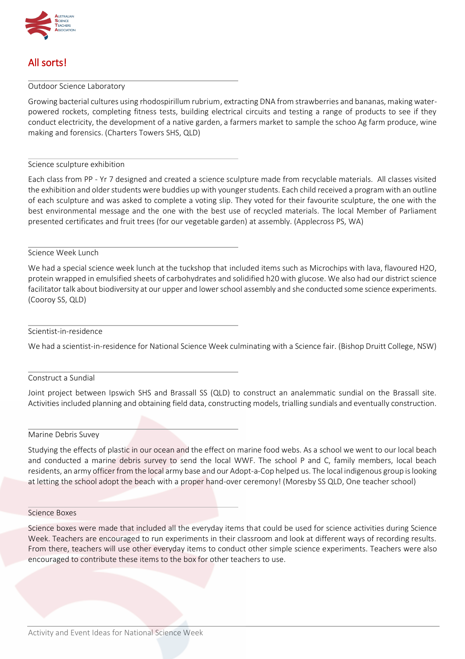

# All sorts!

#### Outdoor Science Laboratory

Growing bacterial cultures using rhodospirillum rubrium, extracting DNA from strawberries and bananas, making waterpowered rockets, completing fitness tests, building electrical circuits and testing a range of products to see if they conduct electricity, the development of a native garden, a farmers market to sample the schoo Ag farm produce, wine making and forensics. (Charters Towers SHS, QLD)

Science sculpture exhibition

Each class from PP - Yr 7 designed and created a science sculpture made from recyclable materials. All classes visited the exhibition and older students were buddies up with younger students. Each child received a program with an outline of each sculpture and was asked to complete a voting slip. They voted for their favourite sculpture, the one with the best environmental message and the one with the best use of recycled materials. The local Member of Parliament presented certificates and fruit trees (for our vegetable garden) at assembly. (Applecross PS, WA)

## Science Week Lunch

We had a special science week lunch at the tuckshop that included items such as Microchips with lava, flavoured H2O, protein wrapped in emulsified sheets of carbohydrates and solidified h20 with glucose. We also had our district science facilitator talk about biodiversity at our upper and lower school assembly and she conducted some science experiments. (Cooroy SS, QLD)

#### Scientist-in-residence

We had a scientist-in-residence for National Science Week culminating with a Science fair. (Bishop Druitt College, NSW)

#### Construct a Sundial

Joint project between Ipswich SHS and Brassall SS (QLD) to construct an analemmatic sundial on the Brassall site. Activities included planning and obtaining field data, constructing models, trialling sundials and eventually construction.

# Marine Debris Suvey

Studying the effects of plastic in our ocean and the effect on marine food webs. As a school we went to our local beach and conducted a marine debris survey to send the local WWF. The school P and C, family members, local beach residents, an army officer from the local army base and our Adopt-a-Cop helped us. The local indigenous group is looking at letting the school adopt the beach with a proper hand-over ceremony! (Moresby SS QLD, One teacher school)

#### Science Boxes

Science boxes were made that included all the everyday items that could be used for science activities during Science Week. Teachers are encouraged to run experiments in their classroom and look at different ways of recording results. From there, teachers will use other everyday items to conduct other simple science experiments. Teachers were also encouraged to contribute these items to the box for other teachers to use.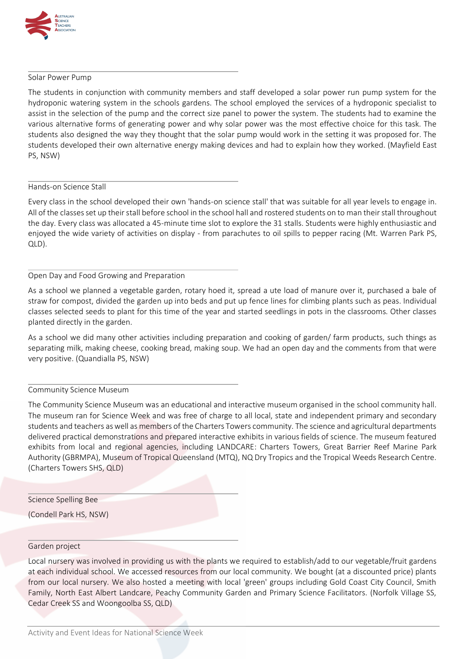

#### Solar Power Pump

The students in conjunction with community members and staff developed a solar power run pump system for the hydroponic watering system in the schools gardens. The school employed the services of a hydroponic specialist to assist in the selection of the pump and the correct size panel to power the system. The students had to examine the various alternative forms of generating power and why solar power was the most effective choice for this task. The students also designed the way they thought that the solar pump would work in the setting it was proposed for. The students developed their own alternative energy making devices and had to explain how they worked. (Mayfield East PS, NSW)

## Hands-on Science Stall

Every class in the school developed their own 'hands-on science stall' that was suitable for all year levels to engage in. All of the classes set up their stall before school in the school hall and rostered students on to man their stall throughout the day. Every class was allocated a 45-minute time slot to explore the 31 stalls. Students were highly enthusiastic and enjoyed the wide variety of activities on display - from parachutes to oil spills to pepper racing (Mt. Warren Park PS, QLD).

## Open Day and Food Growing and Preparation

As a school we planned a vegetable garden, rotary hoed it, spread a ute load of manure over it, purchased a bale of straw for compost, divided the garden up into beds and put up fence lines for climbing plants such as peas. Individual classes selected seeds to plant for this time of the year and started seedlings in pots in the classrooms. Other classes planted directly in the garden.

As a school we did many other activities including preparation and cooking of garden/ farm products, such things as separating milk, making cheese, cooking bread, making soup. We had an open day and the comments from that were very positive. (Quandialla PS, NSW)

# Community Science Museum

The Community Science Museum was an educational and interactive museum organised in the school community hall. The museum ran for Science Week and was free of charge to all local, state and independent primary and secondary students and teachers as well as members of the Charters Towers community. The science and agricultural departments delivered practical demonstrations and prepared interactive exhibits in various fields of science. The museum featured exhibits from local and regional agencies, including LANDCARE: Charters Towers, Great Barrier Reef Marine Park Authority (GBRMPA), Museum of Tropical Queensland (MTQ), NQ Dry Tropics and the Tropical Weeds Research Centre. (Charters Towers SHS, QLD)

Science Spelling Bee

(Condell Park HS, NSW)

# Garden project

Local nursery was involved in providing us with the plants we required to establish/add to our vegetable/fruit gardens at each individual school. We accessed resources from our local community. We bought (at a discounted price) plants from our local nursery. We also hosted a meeting with local 'green' groups including Gold Coast City Council, Smith Family, North East Albert Landcare, Peachy Community Garden and Primary Science Facilitators. (Norfolk Village SS, Cedar Creek SS and Woongoolba SS, QLD)